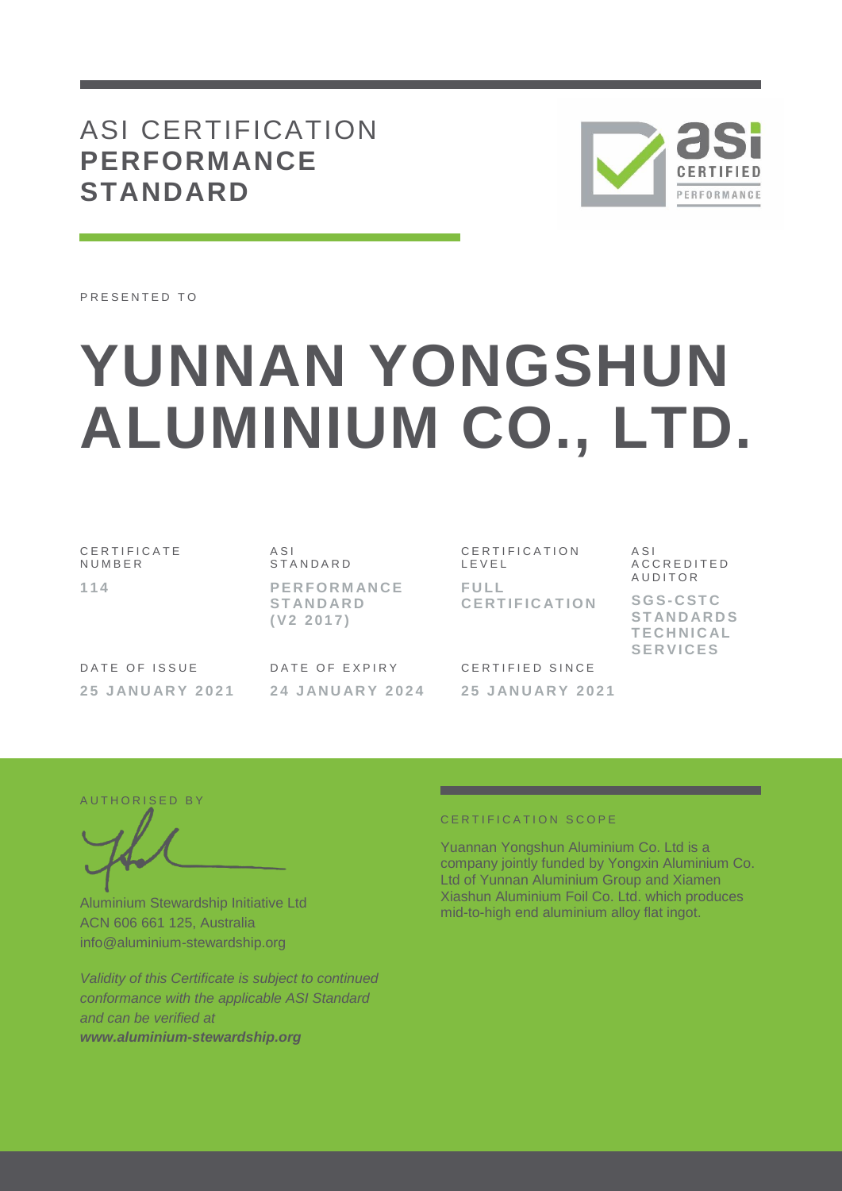## ASI CERTIFICATION **PERFORMANCE STANDARD**



PRESENTED TO

# **YUNNAN YONGSHUN ALUMINIUM CO., LTD.**

C E R T I F I C A T E **NUMBER 1 1 4**

A S I **STANDARD P E R F O R M AN C E S T AN D AR D ( V 2 2 0 1 7 )**

DATE OF ISSUE **2 5 J AN U AR Y 2 0 2 1** DATE OF EXPIRY **2 4 J AN U AR Y 2 0 2 4**

CERTIFICATION L E V E L **F U L L C E R T I F I C AT I O N** A S I A C C R E D I T E D A U D I T O R

**S G S- C S T C S T AN D AR D S T E C H N I C AL S E R V I C E S**

CERTIFIED SINCE **2 5 J AN U AR Y 2 0 2 1**

AUTHORISED BY

Aluminium Stewardship Initiative Ltd ACN 606 661 125, Australia info@aluminium-stewardship.org

*Validity of this Certificate is subject to continued conformance with the applicable ASI Standard and can be verified at www.aluminium-stewardship.org*

#### CERTIFICATION SCOPE

Yuannan Yongshun Aluminium Co. Ltd is a company jointly funded by Yongxin Aluminium Co. Ltd of Yunnan Aluminium Group and Xiamen Xiashun Aluminium Foil Co. Ltd. which produces mid-to-high end aluminium alloy flat ingot.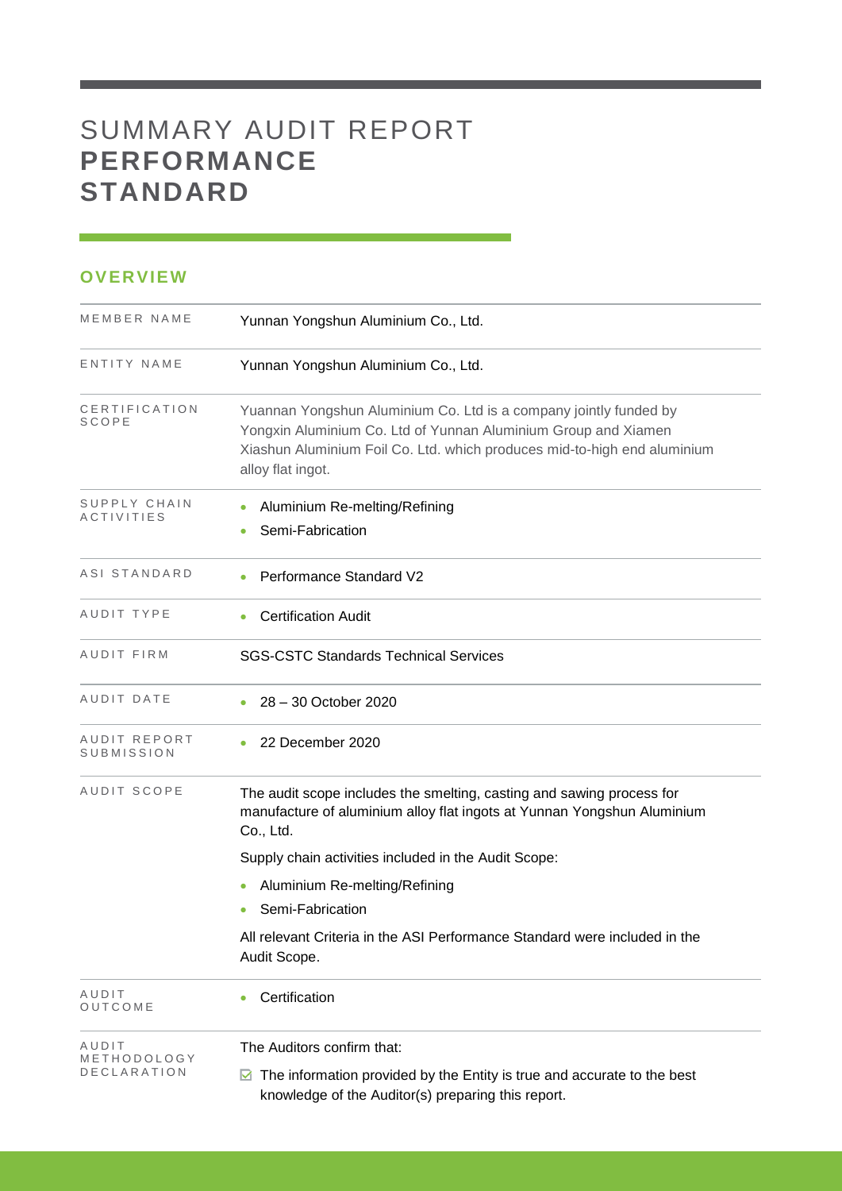# SUMMARY AUDIT REPORT **PERFORMANCE STANDARD**

### **OVERVIEW**

| MEMBER NAME                | Yunnan Yongshun Aluminium Co., Ltd.                                                                                                                                                                                                  |
|----------------------------|--------------------------------------------------------------------------------------------------------------------------------------------------------------------------------------------------------------------------------------|
| ENTITY NAME                | Yunnan Yongshun Aluminium Co., Ltd.                                                                                                                                                                                                  |
| CERTIFICATION<br>SCOPE     | Yuannan Yongshun Aluminium Co. Ltd is a company jointly funded by<br>Yongxin Aluminium Co. Ltd of Yunnan Aluminium Group and Xiamen<br>Xiashun Aluminium Foil Co. Ltd. which produces mid-to-high end aluminium<br>alloy flat ingot. |
| SUPPLY CHAIN<br>ACTIVITIES | Aluminium Re-melting/Refining<br>Semi-Fabrication                                                                                                                                                                                    |
| ASI STANDARD               | Performance Standard V2                                                                                                                                                                                                              |
| AUDIT TYPE                 | <b>Certification Audit</b>                                                                                                                                                                                                           |
| AUDIT FIRM                 | <b>SGS-CSTC Standards Technical Services</b>                                                                                                                                                                                         |
| AUDIT DATE                 | 28 - 30 October 2020                                                                                                                                                                                                                 |
| AUDIT REPORT<br>SUBMISSION | 22 December 2020                                                                                                                                                                                                                     |
| AUDIT SCOPE                | The audit scope includes the smelting, casting and sawing process for<br>manufacture of aluminium alloy flat ingots at Yunnan Yongshun Aluminium<br>Co., Ltd.                                                                        |
|                            | Supply chain activities included in the Audit Scope:                                                                                                                                                                                 |
|                            | Aluminium Re-melting/Refining                                                                                                                                                                                                        |
|                            | Semi-Fabrication                                                                                                                                                                                                                     |
|                            | All relevant Criteria in the ASI Performance Standard were included in the<br>Audit Scope.                                                                                                                                           |
| AUDIT<br>OUTCOME           | Certification                                                                                                                                                                                                                        |
| AUDIT                      | The Auditors confirm that:                                                                                                                                                                                                           |
| METHODOLOGY<br>DECLARATION | The information provided by the Entity is true and accurate to the best<br>M<br>knowledge of the Auditor(s) preparing this report.                                                                                                   |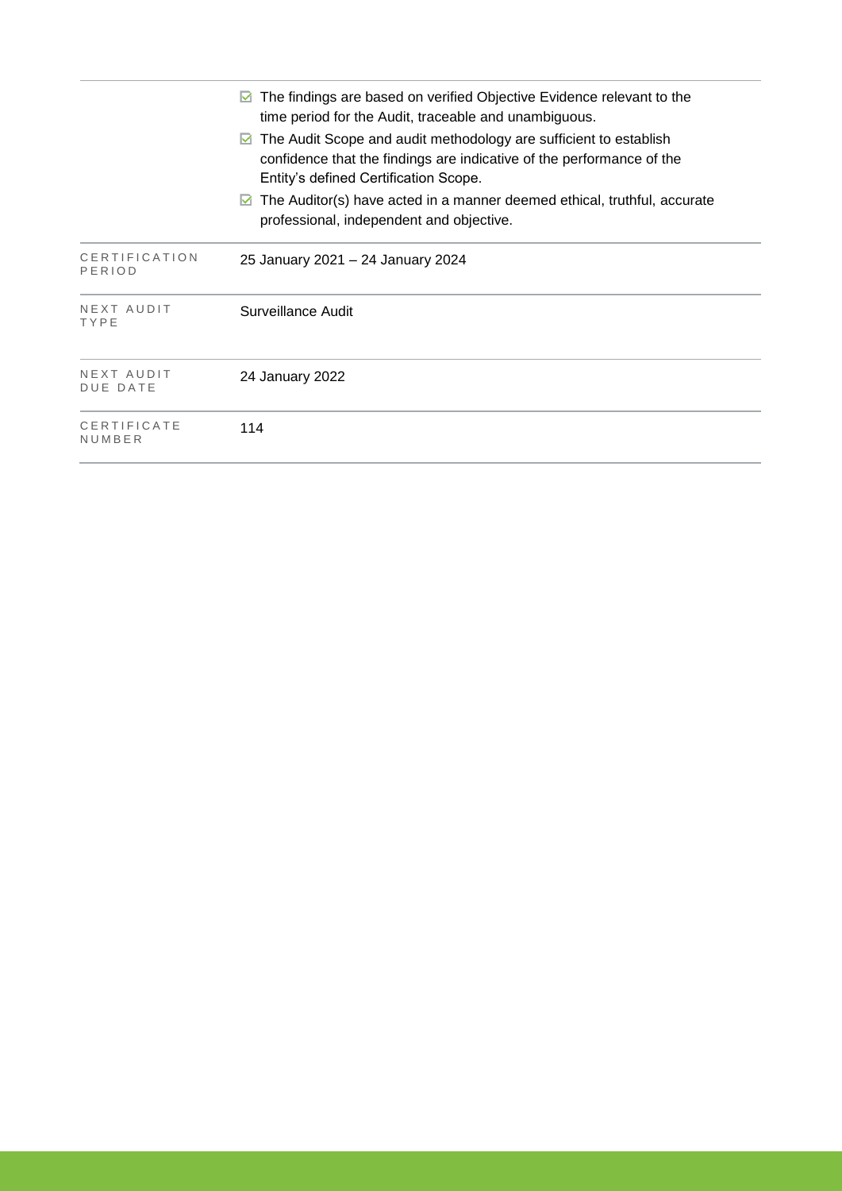|                         | The findings are based on verified Objective Evidence relevant to the<br>М<br>time period for the Audit, traceable and unambiguous.<br>The Audit Scope and audit methodology are sufficient to establish<br>M<br>confidence that the findings are indicative of the performance of the<br>Entity's defined Certification Scope. |
|-------------------------|---------------------------------------------------------------------------------------------------------------------------------------------------------------------------------------------------------------------------------------------------------------------------------------------------------------------------------|
|                         | The Auditor(s) have acted in a manner deemed ethical, truthful, accurate<br>M<br>professional, independent and objective.                                                                                                                                                                                                       |
| CERTIFICATION<br>PERIOD | 25 January 2021 – 24 January 2024                                                                                                                                                                                                                                                                                               |
| NEXT AUDIT<br>TYPE      | Surveillance Audit                                                                                                                                                                                                                                                                                                              |
| NEXT AUDIT<br>DUE DATE  | 24 January 2022                                                                                                                                                                                                                                                                                                                 |
| CERTIFICATE<br>NUMBER   | 114                                                                                                                                                                                                                                                                                                                             |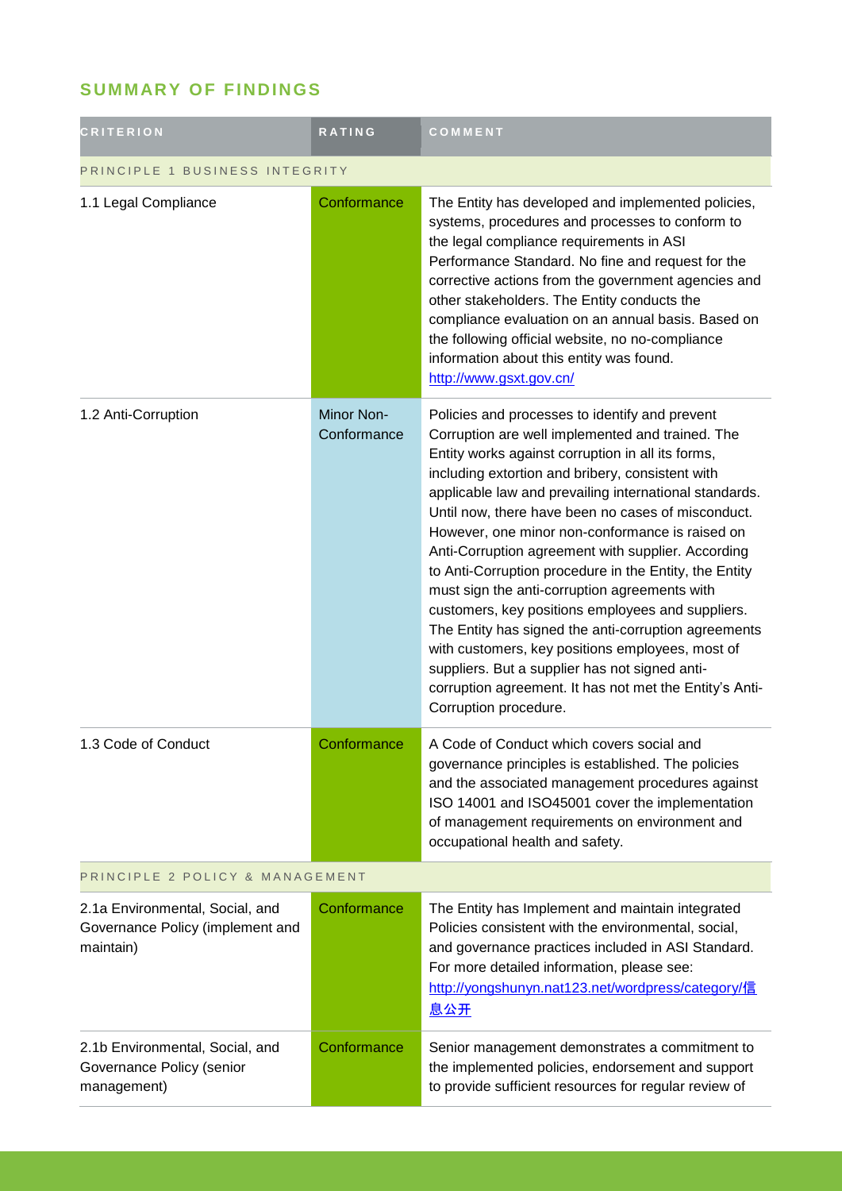## **SUMMARY OF FINDINGS**

| <b>CRITERION</b>                                                                 | <b>RATING</b>             | COMMENT                                                                                                                                                                                                                                                                                                                                                                                                                                                                                                                                                                                                                                                                                                                                                                                                                                                |  |
|----------------------------------------------------------------------------------|---------------------------|--------------------------------------------------------------------------------------------------------------------------------------------------------------------------------------------------------------------------------------------------------------------------------------------------------------------------------------------------------------------------------------------------------------------------------------------------------------------------------------------------------------------------------------------------------------------------------------------------------------------------------------------------------------------------------------------------------------------------------------------------------------------------------------------------------------------------------------------------------|--|
| PRINCIPLE 1 BUSINESS INTEGRITY                                                   |                           |                                                                                                                                                                                                                                                                                                                                                                                                                                                                                                                                                                                                                                                                                                                                                                                                                                                        |  |
| 1.1 Legal Compliance                                                             | Conformance               | The Entity has developed and implemented policies,<br>systems, procedures and processes to conform to<br>the legal compliance requirements in ASI<br>Performance Standard. No fine and request for the<br>corrective actions from the government agencies and<br>other stakeholders. The Entity conducts the<br>compliance evaluation on an annual basis. Based on<br>the following official website, no no-compliance<br>information about this entity was found.<br>http://www.gsxt.gov.cn/                                                                                                                                                                                                                                                                                                                                                          |  |
| 1.2 Anti-Corruption                                                              | Minor Non-<br>Conformance | Policies and processes to identify and prevent<br>Corruption are well implemented and trained. The<br>Entity works against corruption in all its forms,<br>including extortion and bribery, consistent with<br>applicable law and prevailing international standards.<br>Until now, there have been no cases of misconduct.<br>However, one minor non-conformance is raised on<br>Anti-Corruption agreement with supplier. According<br>to Anti-Corruption procedure in the Entity, the Entity<br>must sign the anti-corruption agreements with<br>customers, key positions employees and suppliers.<br>The Entity has signed the anti-corruption agreements<br>with customers, key positions employees, most of<br>suppliers. But a supplier has not signed anti-<br>corruption agreement. It has not met the Entity's Anti-<br>Corruption procedure. |  |
| 1.3 Code of Conduct                                                              | Conformance               | A Code of Conduct which covers social and<br>governance principles is established. The policies<br>and the associated management procedures against<br>ISO 14001 and ISO45001 cover the implementation<br>of management requirements on environment and<br>occupational health and safety.                                                                                                                                                                                                                                                                                                                                                                                                                                                                                                                                                             |  |
| PRINCIPLE 2 POLICY & MANAGEMENT                                                  |                           |                                                                                                                                                                                                                                                                                                                                                                                                                                                                                                                                                                                                                                                                                                                                                                                                                                                        |  |
| 2.1a Environmental, Social, and<br>Governance Policy (implement and<br>maintain) | Conformance               | The Entity has Implement and maintain integrated<br>Policies consistent with the environmental, social,<br>and governance practices included in ASI Standard.<br>For more detailed information, please see:<br>http://yongshunyn.nat123.net/wordpress/category/信<br>息公开                                                                                                                                                                                                                                                                                                                                                                                                                                                                                                                                                                                |  |
| 2.1b Environmental, Social, and<br>Governance Policy (senior<br>management)      | Conformance               | Senior management demonstrates a commitment to<br>the implemented policies, endorsement and support<br>to provide sufficient resources for regular review of                                                                                                                                                                                                                                                                                                                                                                                                                                                                                                                                                                                                                                                                                           |  |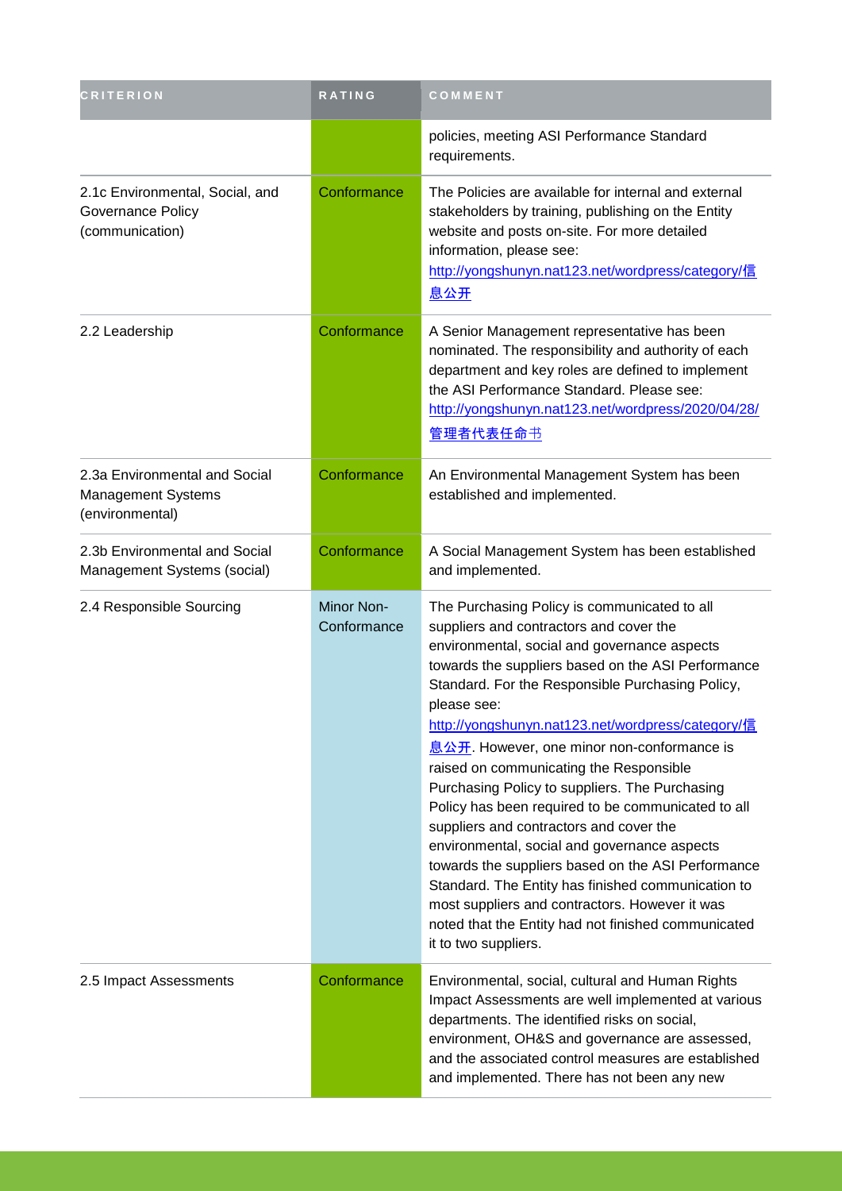| <b>CRITERION</b>                                                              | <b>RATING</b>                    | COMMENT                                                                                                                                                                                                                                                                                                                                                                                                                                                                                                                                                                                                                                                                                                                                                                                                                                                        |
|-------------------------------------------------------------------------------|----------------------------------|----------------------------------------------------------------------------------------------------------------------------------------------------------------------------------------------------------------------------------------------------------------------------------------------------------------------------------------------------------------------------------------------------------------------------------------------------------------------------------------------------------------------------------------------------------------------------------------------------------------------------------------------------------------------------------------------------------------------------------------------------------------------------------------------------------------------------------------------------------------|
|                                                                               |                                  | policies, meeting ASI Performance Standard<br>requirements.                                                                                                                                                                                                                                                                                                                                                                                                                                                                                                                                                                                                                                                                                                                                                                                                    |
| 2.1c Environmental, Social, and<br>Governance Policy<br>(communication)       | Conformance                      | The Policies are available for internal and external<br>stakeholders by training, publishing on the Entity<br>website and posts on-site. For more detailed<br>information, please see:<br>http://yongshunyn.nat123.net/wordpress/category/信<br>息公开                                                                                                                                                                                                                                                                                                                                                                                                                                                                                                                                                                                                             |
| 2.2 Leadership                                                                | Conformance                      | A Senior Management representative has been<br>nominated. The responsibility and authority of each<br>department and key roles are defined to implement<br>the ASI Performance Standard. Please see:<br>http://yongshunyn.nat123.net/wordpress/2020/04/28/<br>管理者代表任命书                                                                                                                                                                                                                                                                                                                                                                                                                                                                                                                                                                                         |
| 2.3a Environmental and Social<br><b>Management Systems</b><br>(environmental) | Conformance                      | An Environmental Management System has been<br>established and implemented.                                                                                                                                                                                                                                                                                                                                                                                                                                                                                                                                                                                                                                                                                                                                                                                    |
| 2.3b Environmental and Social<br>Management Systems (social)                  | Conformance                      | A Social Management System has been established<br>and implemented.                                                                                                                                                                                                                                                                                                                                                                                                                                                                                                                                                                                                                                                                                                                                                                                            |
| 2.4 Responsible Sourcing                                                      | <b>Minor Non-</b><br>Conformance | The Purchasing Policy is communicated to all<br>suppliers and contractors and cover the<br>environmental, social and governance aspects<br>towards the suppliers based on the ASI Performance<br>Standard. For the Responsible Purchasing Policy,<br>please see:<br>http://yongshunyn.nat123.net/wordpress/category/信<br>息公开. However, one minor non-conformance is<br>raised on communicating the Responsible<br>Purchasing Policy to suppliers. The Purchasing<br>Policy has been required to be communicated to all<br>suppliers and contractors and cover the<br>environmental, social and governance aspects<br>towards the suppliers based on the ASI Performance<br>Standard. The Entity has finished communication to<br>most suppliers and contractors. However it was<br>noted that the Entity had not finished communicated<br>it to two suppliers. |
| 2.5 Impact Assessments                                                        | Conformance                      | Environmental, social, cultural and Human Rights<br>Impact Assessments are well implemented at various<br>departments. The identified risks on social,<br>environment, OH&S and governance are assessed,<br>and the associated control measures are established<br>and implemented. There has not been any new                                                                                                                                                                                                                                                                                                                                                                                                                                                                                                                                                 |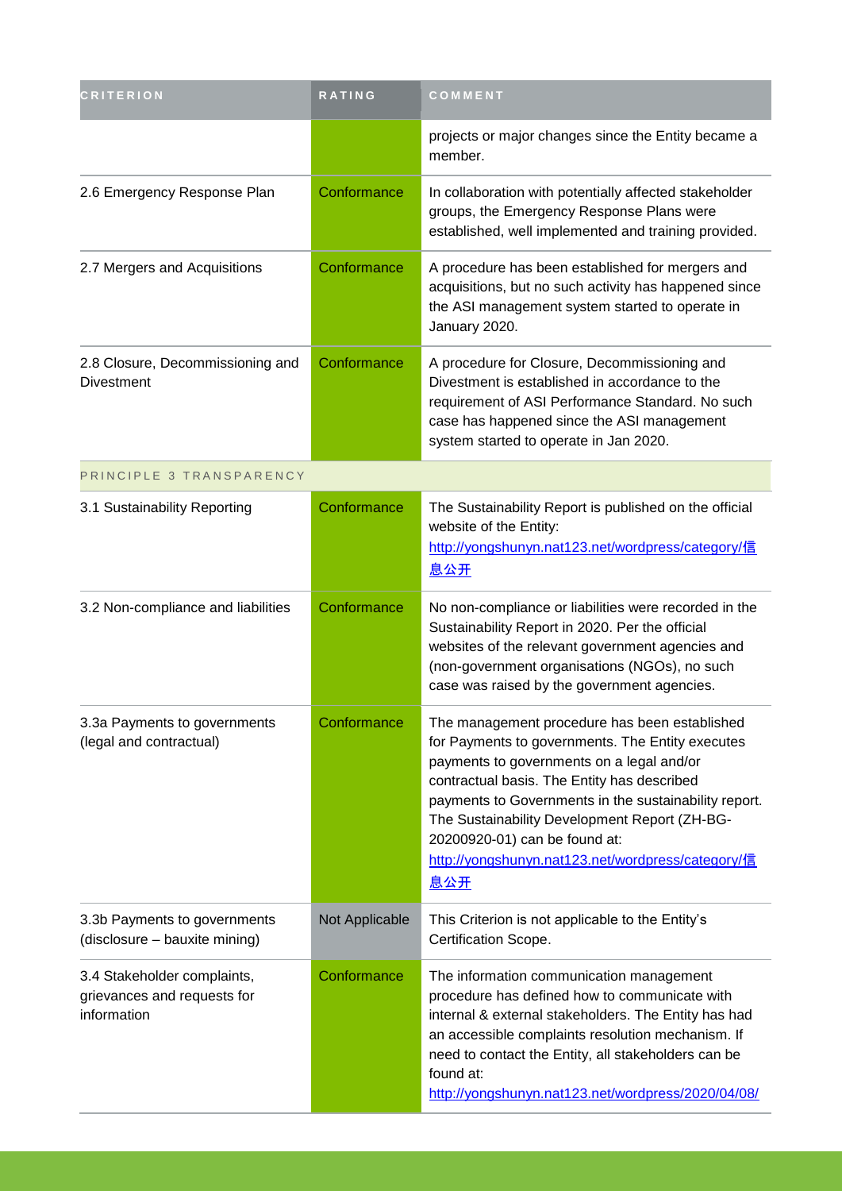| <b>CRITERION</b>                                                          | <b>RATING</b>  | COMMENT                                                                                                                                                                                                                                                                                                                                                                                                     |
|---------------------------------------------------------------------------|----------------|-------------------------------------------------------------------------------------------------------------------------------------------------------------------------------------------------------------------------------------------------------------------------------------------------------------------------------------------------------------------------------------------------------------|
|                                                                           |                | projects or major changes since the Entity became a<br>member.                                                                                                                                                                                                                                                                                                                                              |
| 2.6 Emergency Response Plan                                               | Conformance    | In collaboration with potentially affected stakeholder<br>groups, the Emergency Response Plans were<br>established, well implemented and training provided.                                                                                                                                                                                                                                                 |
| 2.7 Mergers and Acquisitions                                              | Conformance    | A procedure has been established for mergers and<br>acquisitions, but no such activity has happened since<br>the ASI management system started to operate in<br>January 2020.                                                                                                                                                                                                                               |
| 2.8 Closure, Decommissioning and<br><b>Divestment</b>                     | Conformance    | A procedure for Closure, Decommissioning and<br>Divestment is established in accordance to the<br>requirement of ASI Performance Standard. No such<br>case has happened since the ASI management<br>system started to operate in Jan 2020.                                                                                                                                                                  |
| PRINCIPLE 3 TRANSPARENCY                                                  |                |                                                                                                                                                                                                                                                                                                                                                                                                             |
| 3.1 Sustainability Reporting                                              | Conformance    | The Sustainability Report is published on the official<br>website of the Entity:<br>http://yongshunyn.nat123.net/wordpress/category/信<br><u>息公开</u>                                                                                                                                                                                                                                                         |
| 3.2 Non-compliance and liabilities                                        | Conformance    | No non-compliance or liabilities were recorded in the<br>Sustainability Report in 2020. Per the official<br>websites of the relevant government agencies and<br>(non-government organisations (NGOs), no such<br>case was raised by the government agencies.                                                                                                                                                |
| 3.3a Payments to governments<br>(legal and contractual)                   | Conformance    | The management procedure has been established<br>for Payments to governments. The Entity executes<br>payments to governments on a legal and/or<br>contractual basis. The Entity has described<br>payments to Governments in the sustainability report.<br>The Sustainability Development Report (ZH-BG-<br>20200920-01) can be found at:<br>http://yongshunyn.nat123.net/wordpress/category/信<br><u>息公开</u> |
| 3.3b Payments to governments<br>(disclosure - bauxite mining)             | Not Applicable | This Criterion is not applicable to the Entity's<br>Certification Scope.                                                                                                                                                                                                                                                                                                                                    |
| 3.4 Stakeholder complaints,<br>grievances and requests for<br>information | Conformance    | The information communication management<br>procedure has defined how to communicate with<br>internal & external stakeholders. The Entity has had<br>an accessible complaints resolution mechanism. If<br>need to contact the Entity, all stakeholders can be<br>found at:<br>http://yongshunyn.nat123.net/wordpress/2020/04/08/                                                                            |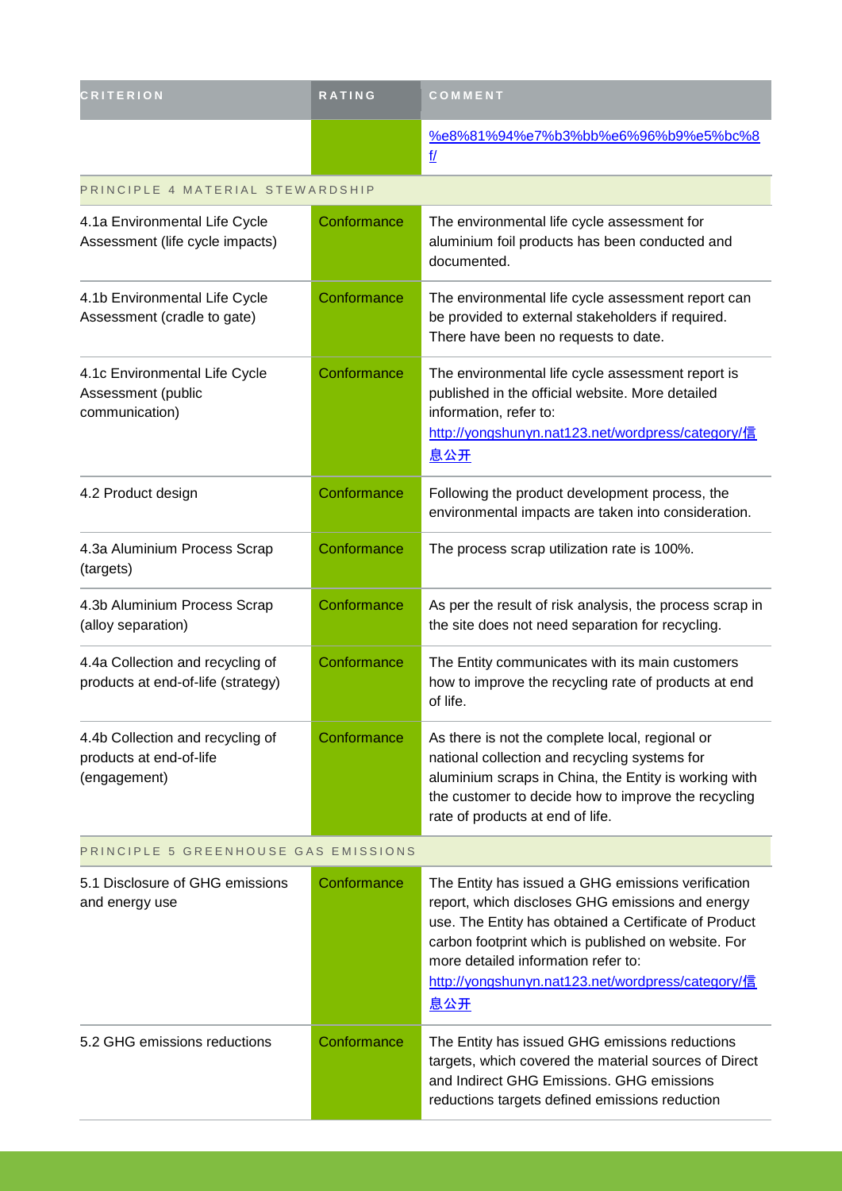| <b>CRITERION</b>                                                            | <b>RATING</b> | COMMENT                                                                                                                                                                                                                                                                                                                          |  |
|-----------------------------------------------------------------------------|---------------|----------------------------------------------------------------------------------------------------------------------------------------------------------------------------------------------------------------------------------------------------------------------------------------------------------------------------------|--|
|                                                                             |               | %e8%81%94%e7%b3%bb%e6%96%b9%e5%bc%8<br>$\underline{\mathsf{f}}$                                                                                                                                                                                                                                                                  |  |
| PRINCIPLE 4 MATERIAL STEWARDSHIP                                            |               |                                                                                                                                                                                                                                                                                                                                  |  |
| 4.1a Environmental Life Cycle<br>Assessment (life cycle impacts)            | Conformance   | The environmental life cycle assessment for<br>aluminium foil products has been conducted and<br>documented.                                                                                                                                                                                                                     |  |
| 4.1b Environmental Life Cycle<br>Assessment (cradle to gate)                | Conformance   | The environmental life cycle assessment report can<br>be provided to external stakeholders if required.<br>There have been no requests to date.                                                                                                                                                                                  |  |
| 4.1c Environmental Life Cycle<br>Assessment (public<br>communication)       | Conformance   | The environmental life cycle assessment report is<br>published in the official website. More detailed<br>information, refer to:<br>http://yongshunyn.nat123.net/wordpress/category/信<br>息公开                                                                                                                                      |  |
| 4.2 Product design                                                          | Conformance   | Following the product development process, the<br>environmental impacts are taken into consideration.                                                                                                                                                                                                                            |  |
| 4.3a Aluminium Process Scrap<br>(targets)                                   | Conformance   | The process scrap utilization rate is 100%.                                                                                                                                                                                                                                                                                      |  |
| 4.3b Aluminium Process Scrap<br>(alloy separation)                          | Conformance   | As per the result of risk analysis, the process scrap in<br>the site does not need separation for recycling.                                                                                                                                                                                                                     |  |
| 4.4a Collection and recycling of<br>products at end-of-life (strategy)      | Conformance   | The Entity communicates with its main customers<br>how to improve the recycling rate of products at end<br>of life.                                                                                                                                                                                                              |  |
| 4.4b Collection and recycling of<br>products at end-of-life<br>(engagement) | Conformance   | As there is not the complete local, regional or<br>national collection and recycling systems for<br>aluminium scraps in China, the Entity is working with<br>the customer to decide how to improve the recycling<br>rate of products at end of life.                                                                             |  |
| PRINCIPLE 5 GREENHOUSE GAS EMISSIONS                                        |               |                                                                                                                                                                                                                                                                                                                                  |  |
| 5.1 Disclosure of GHG emissions<br>and energy use                           | Conformance   | The Entity has issued a GHG emissions verification<br>report, which discloses GHG emissions and energy<br>use. The Entity has obtained a Certificate of Product<br>carbon footprint which is published on website. For<br>more detailed information refer to:<br>http://yongshunyn.nat123.net/wordpress/category/信<br><u>息公开</u> |  |
| 5.2 GHG emissions reductions                                                | Conformance   | The Entity has issued GHG emissions reductions<br>targets, which covered the material sources of Direct<br>and Indirect GHG Emissions. GHG emissions<br>reductions targets defined emissions reduction                                                                                                                           |  |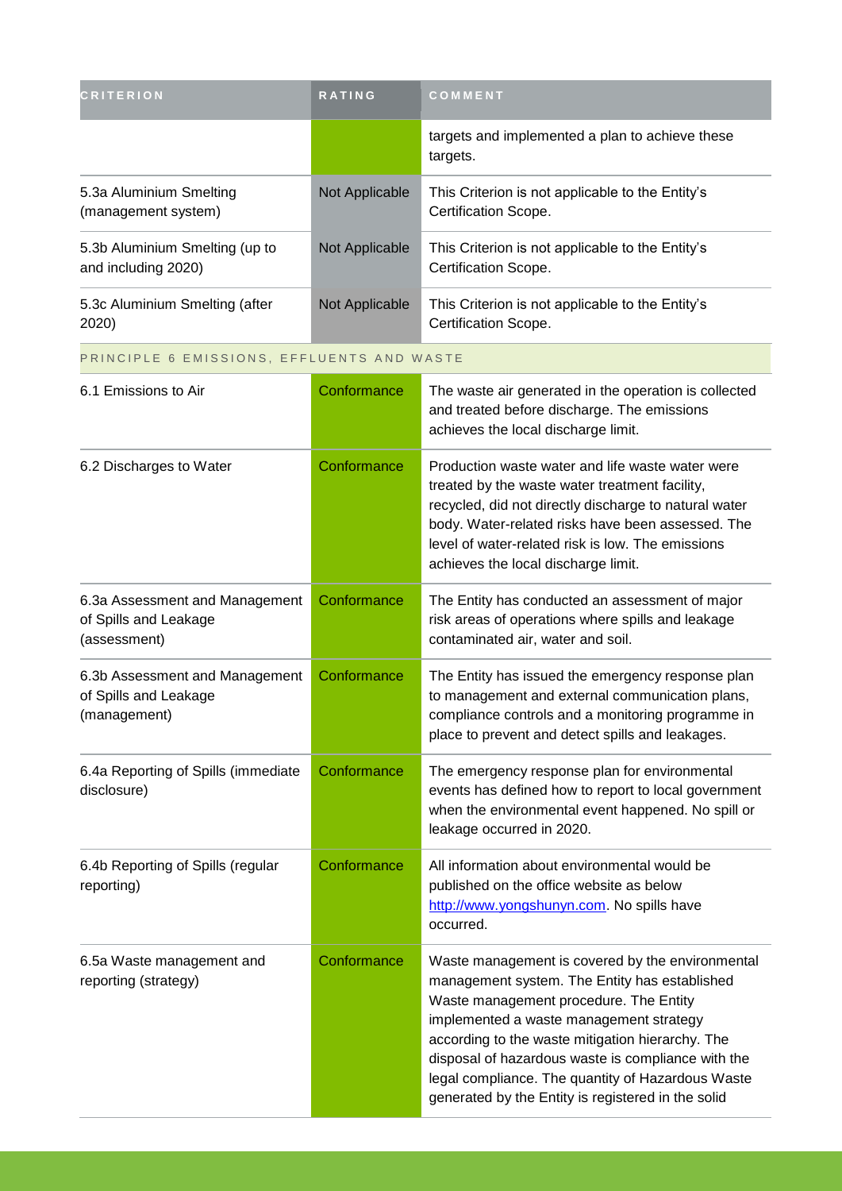| <b>CRITERION</b>                                                        | RATING         | COMMENT                                                                                                                                                                                                                                                                                                                                                                                                     |
|-------------------------------------------------------------------------|----------------|-------------------------------------------------------------------------------------------------------------------------------------------------------------------------------------------------------------------------------------------------------------------------------------------------------------------------------------------------------------------------------------------------------------|
|                                                                         |                | targets and implemented a plan to achieve these<br>targets.                                                                                                                                                                                                                                                                                                                                                 |
| 5.3a Aluminium Smelting<br>(management system)                          | Not Applicable | This Criterion is not applicable to the Entity's<br>Certification Scope.                                                                                                                                                                                                                                                                                                                                    |
| 5.3b Aluminium Smelting (up to<br>and including 2020)                   | Not Applicable | This Criterion is not applicable to the Entity's<br>Certification Scope.                                                                                                                                                                                                                                                                                                                                    |
| 5.3c Aluminium Smelting (after<br>2020)                                 | Not Applicable | This Criterion is not applicable to the Entity's<br>Certification Scope.                                                                                                                                                                                                                                                                                                                                    |
| PRINCIPLE 6 EMISSIONS, EFFLUENTS AND WASTE                              |                |                                                                                                                                                                                                                                                                                                                                                                                                             |
| 6.1 Emissions to Air                                                    | Conformance    | The waste air generated in the operation is collected<br>and treated before discharge. The emissions<br>achieves the local discharge limit.                                                                                                                                                                                                                                                                 |
| 6.2 Discharges to Water                                                 | Conformance    | Production waste water and life waste water were<br>treated by the waste water treatment facility,<br>recycled, did not directly discharge to natural water<br>body. Water-related risks have been assessed. The<br>level of water-related risk is low. The emissions<br>achieves the local discharge limit.                                                                                                |
| 6.3a Assessment and Management<br>of Spills and Leakage<br>(assessment) | Conformance    | The Entity has conducted an assessment of major<br>risk areas of operations where spills and leakage<br>contaminated air, water and soil.                                                                                                                                                                                                                                                                   |
| 6.3b Assessment and Management<br>of Spills and Leakage<br>(management) | Conformance    | The Entity has issued the emergency response plan<br>to management and external communication plans,<br>compliance controls and a monitoring programme in<br>place to prevent and detect spills and leakages.                                                                                                                                                                                               |
| 6.4a Reporting of Spills (immediate<br>disclosure)                      | Conformance    | The emergency response plan for environmental<br>events has defined how to report to local government<br>when the environmental event happened. No spill or<br>leakage occurred in 2020.                                                                                                                                                                                                                    |
| 6.4b Reporting of Spills (regular<br>reporting)                         | Conformance    | All information about environmental would be<br>published on the office website as below<br>http://www.yongshunyn.com. No spills have<br>occurred.                                                                                                                                                                                                                                                          |
| 6.5a Waste management and<br>reporting (strategy)                       | Conformance    | Waste management is covered by the environmental<br>management system. The Entity has established<br>Waste management procedure. The Entity<br>implemented a waste management strategy<br>according to the waste mitigation hierarchy. The<br>disposal of hazardous waste is compliance with the<br>legal compliance. The quantity of Hazardous Waste<br>generated by the Entity is registered in the solid |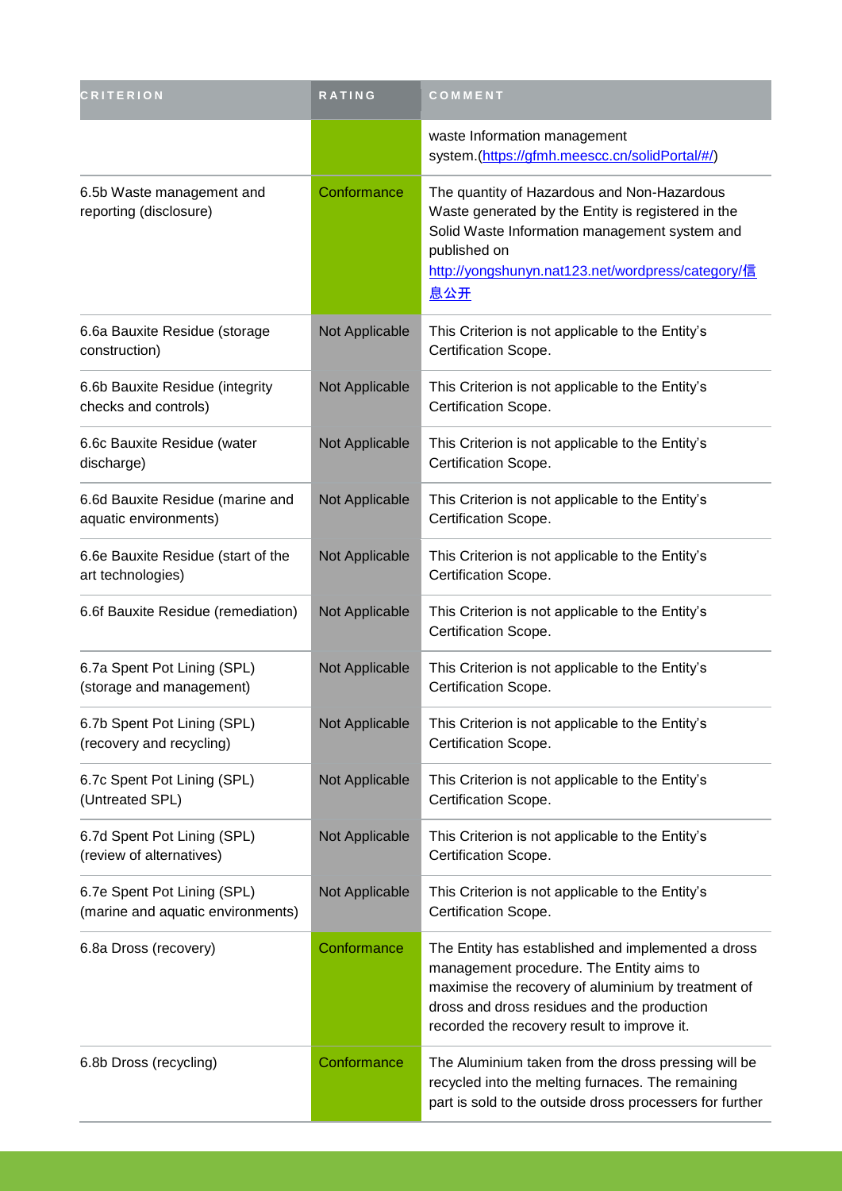| <b>CRITERION</b>                                                 | <b>RATING</b>  | COMMENT                                                                                                                                                                                                                                            |
|------------------------------------------------------------------|----------------|----------------------------------------------------------------------------------------------------------------------------------------------------------------------------------------------------------------------------------------------------|
|                                                                  |                | waste Information management<br>system.(https://gfmh.meescc.cn/solidPortal/#/)                                                                                                                                                                     |
| 6.5b Waste management and<br>reporting (disclosure)              | Conformance    | The quantity of Hazardous and Non-Hazardous<br>Waste generated by the Entity is registered in the<br>Solid Waste Information management system and<br>published on<br>http://yongshunyn.nat123.net/wordpress/category/信<br>息公开                     |
| 6.6a Bauxite Residue (storage<br>construction)                   | Not Applicable | This Criterion is not applicable to the Entity's<br>Certification Scope.                                                                                                                                                                           |
| 6.6b Bauxite Residue (integrity<br>checks and controls)          | Not Applicable | This Criterion is not applicable to the Entity's<br>Certification Scope.                                                                                                                                                                           |
| 6.6c Bauxite Residue (water<br>discharge)                        | Not Applicable | This Criterion is not applicable to the Entity's<br>Certification Scope.                                                                                                                                                                           |
| 6.6d Bauxite Residue (marine and<br>aquatic environments)        | Not Applicable | This Criterion is not applicable to the Entity's<br>Certification Scope.                                                                                                                                                                           |
| 6.6e Bauxite Residue (start of the<br>art technologies)          | Not Applicable | This Criterion is not applicable to the Entity's<br>Certification Scope.                                                                                                                                                                           |
| 6.6f Bauxite Residue (remediation)                               | Not Applicable | This Criterion is not applicable to the Entity's<br>Certification Scope.                                                                                                                                                                           |
| 6.7a Spent Pot Lining (SPL)<br>(storage and management)          | Not Applicable | This Criterion is not applicable to the Entity's<br>Certification Scope.                                                                                                                                                                           |
| 6.7b Spent Pot Lining (SPL)<br>(recovery and recycling)          | Not Applicable | This Criterion is not applicable to the Entity's<br>Certification Scope.                                                                                                                                                                           |
| 6.7c Spent Pot Lining (SPL)<br>(Untreated SPL)                   | Not Applicable | This Criterion is not applicable to the Entity's<br>Certification Scope.                                                                                                                                                                           |
| 6.7d Spent Pot Lining (SPL)<br>(review of alternatives)          | Not Applicable | This Criterion is not applicable to the Entity's<br>Certification Scope.                                                                                                                                                                           |
| 6.7e Spent Pot Lining (SPL)<br>(marine and aquatic environments) | Not Applicable | This Criterion is not applicable to the Entity's<br>Certification Scope.                                                                                                                                                                           |
| 6.8a Dross (recovery)                                            | Conformance    | The Entity has established and implemented a dross<br>management procedure. The Entity aims to<br>maximise the recovery of aluminium by treatment of<br>dross and dross residues and the production<br>recorded the recovery result to improve it. |
| 6.8b Dross (recycling)                                           | Conformance    | The Aluminium taken from the dross pressing will be<br>recycled into the melting furnaces. The remaining<br>part is sold to the outside dross processers for further                                                                               |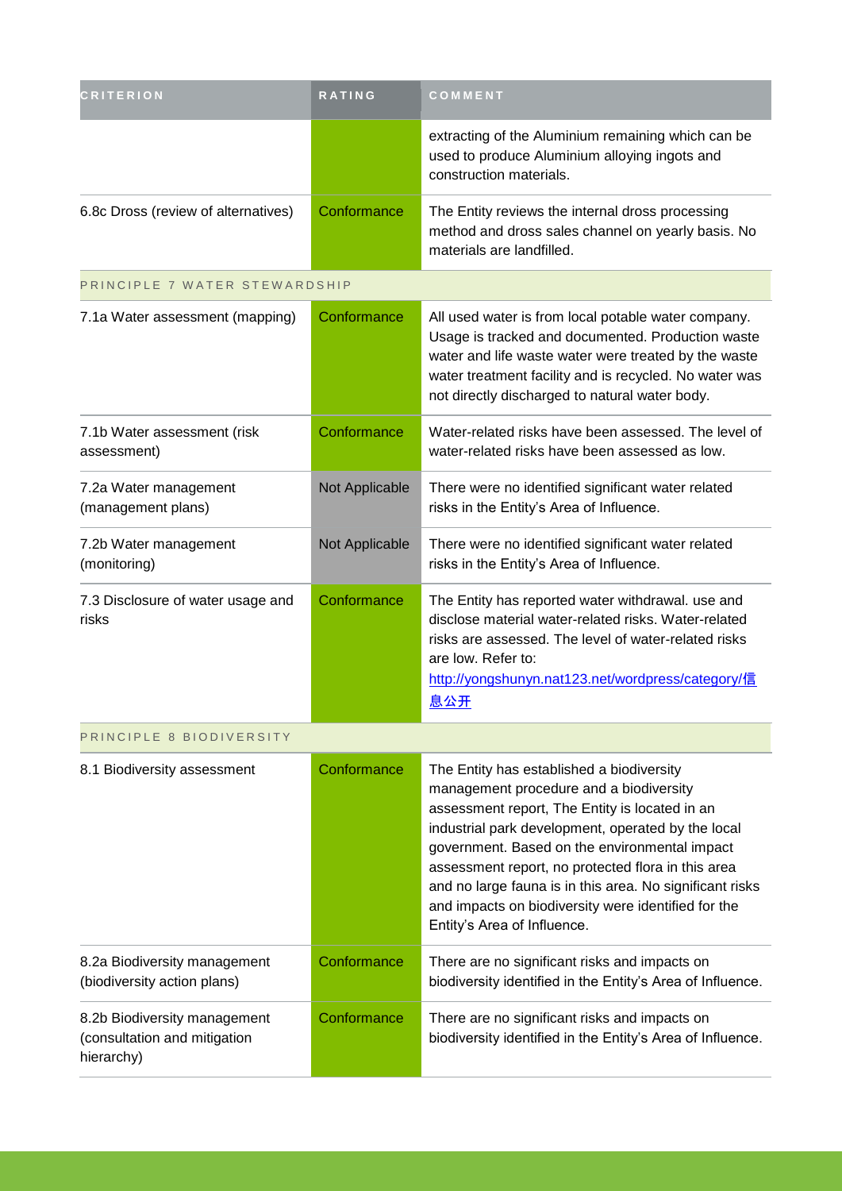| <b>CRITERION</b>                                                           | RATING         | COMMENT                                                                                                                                                                                                                                                                                                                                                                                                                                               |
|----------------------------------------------------------------------------|----------------|-------------------------------------------------------------------------------------------------------------------------------------------------------------------------------------------------------------------------------------------------------------------------------------------------------------------------------------------------------------------------------------------------------------------------------------------------------|
|                                                                            |                | extracting of the Aluminium remaining which can be<br>used to produce Aluminium alloying ingots and<br>construction materials.                                                                                                                                                                                                                                                                                                                        |
| 6.8c Dross (review of alternatives)                                        | Conformance    | The Entity reviews the internal dross processing<br>method and dross sales channel on yearly basis. No<br>materials are landfilled.                                                                                                                                                                                                                                                                                                                   |
| PRINCIPLE 7 WATER STEWARDSHIP                                              |                |                                                                                                                                                                                                                                                                                                                                                                                                                                                       |
| 7.1a Water assessment (mapping)                                            | Conformance    | All used water is from local potable water company.<br>Usage is tracked and documented. Production waste<br>water and life waste water were treated by the waste<br>water treatment facility and is recycled. No water was<br>not directly discharged to natural water body.                                                                                                                                                                          |
| 7.1b Water assessment (risk<br>assessment)                                 | Conformance    | Water-related risks have been assessed. The level of<br>water-related risks have been assessed as low.                                                                                                                                                                                                                                                                                                                                                |
| 7.2a Water management<br>(management plans)                                | Not Applicable | There were no identified significant water related<br>risks in the Entity's Area of Influence.                                                                                                                                                                                                                                                                                                                                                        |
| 7.2b Water management<br>(monitoring)                                      | Not Applicable | There were no identified significant water related<br>risks in the Entity's Area of Influence.                                                                                                                                                                                                                                                                                                                                                        |
| 7.3 Disclosure of water usage and<br>risks                                 | Conformance    | The Entity has reported water withdrawal. use and<br>disclose material water-related risks. Water-related<br>risks are assessed. The level of water-related risks<br>are low. Refer to:<br>http://yongshunyn.nat123.net/wordpress/category/信<br><u>息公开</u>                                                                                                                                                                                            |
| PRINCIPLE 8 BIODIVERSITY                                                   |                |                                                                                                                                                                                                                                                                                                                                                                                                                                                       |
| 8.1 Biodiversity assessment                                                | Conformance    | The Entity has established a biodiversity<br>management procedure and a biodiversity<br>assessment report, The Entity is located in an<br>industrial park development, operated by the local<br>government. Based on the environmental impact<br>assessment report, no protected flora in this area<br>and no large fauna is in this area. No significant risks<br>and impacts on biodiversity were identified for the<br>Entity's Area of Influence. |
| 8.2a Biodiversity management<br>(biodiversity action plans)                | Conformance    | There are no significant risks and impacts on<br>biodiversity identified in the Entity's Area of Influence.                                                                                                                                                                                                                                                                                                                                           |
| 8.2b Biodiversity management<br>(consultation and mitigation<br>hierarchy) | Conformance    | There are no significant risks and impacts on<br>biodiversity identified in the Entity's Area of Influence.                                                                                                                                                                                                                                                                                                                                           |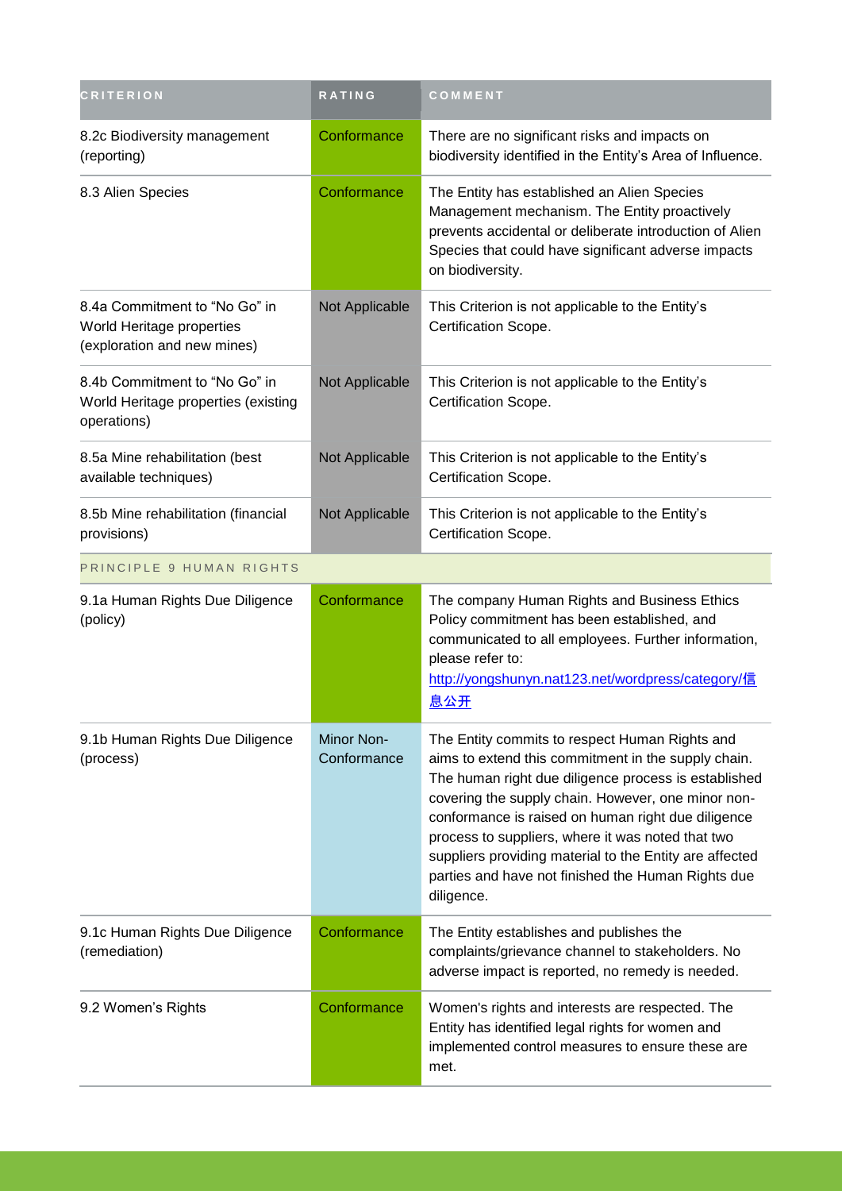| <b>CRITERION</b>                                                                          | <b>RATING</b>             | COMMENT                                                                                                                                                                                                                                                                                                                                                                                                                                                       |
|-------------------------------------------------------------------------------------------|---------------------------|---------------------------------------------------------------------------------------------------------------------------------------------------------------------------------------------------------------------------------------------------------------------------------------------------------------------------------------------------------------------------------------------------------------------------------------------------------------|
| 8.2c Biodiversity management<br>(reporting)                                               | Conformance               | There are no significant risks and impacts on<br>biodiversity identified in the Entity's Area of Influence.                                                                                                                                                                                                                                                                                                                                                   |
| 8.3 Alien Species                                                                         | Conformance               | The Entity has established an Alien Species<br>Management mechanism. The Entity proactively<br>prevents accidental or deliberate introduction of Alien<br>Species that could have significant adverse impacts<br>on biodiversity.                                                                                                                                                                                                                             |
| 8.4a Commitment to "No Go" in<br>World Heritage properties<br>(exploration and new mines) | Not Applicable            | This Criterion is not applicable to the Entity's<br>Certification Scope.                                                                                                                                                                                                                                                                                                                                                                                      |
| 8.4b Commitment to "No Go" in<br>World Heritage properties (existing<br>operations)       | Not Applicable            | This Criterion is not applicable to the Entity's<br>Certification Scope.                                                                                                                                                                                                                                                                                                                                                                                      |
| 8.5a Mine rehabilitation (best<br>available techniques)                                   | Not Applicable            | This Criterion is not applicable to the Entity's<br>Certification Scope.                                                                                                                                                                                                                                                                                                                                                                                      |
| 8.5b Mine rehabilitation (financial<br>provisions)                                        | Not Applicable            | This Criterion is not applicable to the Entity's<br>Certification Scope.                                                                                                                                                                                                                                                                                                                                                                                      |
| PRINCIPLE 9 HUMAN RIGHTS                                                                  |                           |                                                                                                                                                                                                                                                                                                                                                                                                                                                               |
| 9.1a Human Rights Due Diligence<br>(policy)                                               | Conformance               | The company Human Rights and Business Ethics<br>Policy commitment has been established, and<br>communicated to all employees. Further information,<br>please refer to:<br>http://yongshunyn.nat123.net/wordpress/category/信<br>息公开                                                                                                                                                                                                                            |
| 9.1b Human Rights Due Diligence<br>(process)                                              | Minor Non-<br>Conformance | The Entity commits to respect Human Rights and<br>aims to extend this commitment in the supply chain.<br>The human right due diligence process is established<br>covering the supply chain. However, one minor non-<br>conformance is raised on human right due diligence<br>process to suppliers, where it was noted that two<br>suppliers providing material to the Entity are affected<br>parties and have not finished the Human Rights due<br>diligence. |
| 9.1c Human Rights Due Diligence<br>(remediation)                                          | Conformance               | The Entity establishes and publishes the<br>complaints/grievance channel to stakeholders. No<br>adverse impact is reported, no remedy is needed.                                                                                                                                                                                                                                                                                                              |
| 9.2 Women's Rights                                                                        | Conformance               | Women's rights and interests are respected. The<br>Entity has identified legal rights for women and<br>implemented control measures to ensure these are<br>met.                                                                                                                                                                                                                                                                                               |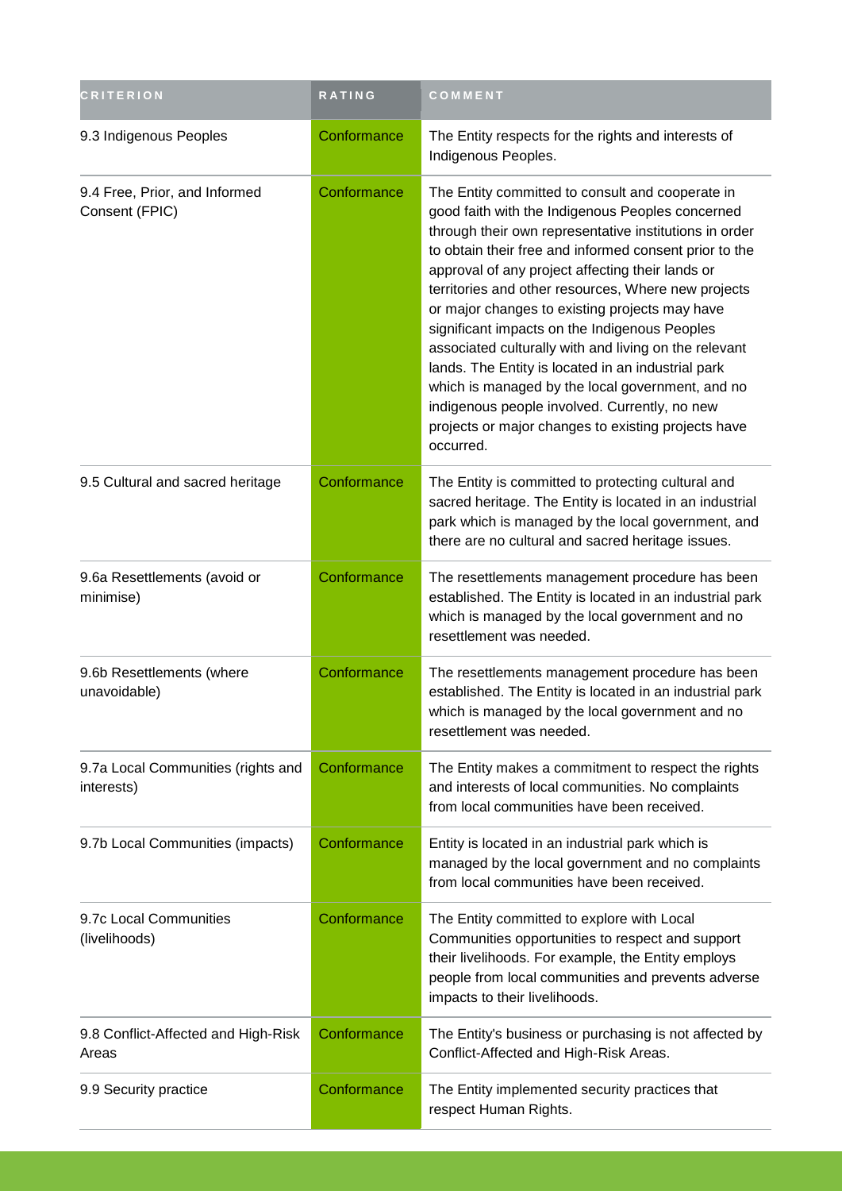| <b>CRITERION</b>                                 | <b>RATING</b> | COMMENT                                                                                                                                                                                                                                                                                                                                                                                                                                                                                                                                                                                                                                                                                                                        |
|--------------------------------------------------|---------------|--------------------------------------------------------------------------------------------------------------------------------------------------------------------------------------------------------------------------------------------------------------------------------------------------------------------------------------------------------------------------------------------------------------------------------------------------------------------------------------------------------------------------------------------------------------------------------------------------------------------------------------------------------------------------------------------------------------------------------|
| 9.3 Indigenous Peoples                           | Conformance   | The Entity respects for the rights and interests of<br>Indigenous Peoples.                                                                                                                                                                                                                                                                                                                                                                                                                                                                                                                                                                                                                                                     |
| 9.4 Free, Prior, and Informed<br>Consent (FPIC)  | Conformance   | The Entity committed to consult and cooperate in<br>good faith with the Indigenous Peoples concerned<br>through their own representative institutions in order<br>to obtain their free and informed consent prior to the<br>approval of any project affecting their lands or<br>territories and other resources, Where new projects<br>or major changes to existing projects may have<br>significant impacts on the Indigenous Peoples<br>associated culturally with and living on the relevant<br>lands. The Entity is located in an industrial park<br>which is managed by the local government, and no<br>indigenous people involved. Currently, no new<br>projects or major changes to existing projects have<br>occurred. |
| 9.5 Cultural and sacred heritage                 | Conformance   | The Entity is committed to protecting cultural and<br>sacred heritage. The Entity is located in an industrial<br>park which is managed by the local government, and<br>there are no cultural and sacred heritage issues.                                                                                                                                                                                                                                                                                                                                                                                                                                                                                                       |
| 9.6a Resettlements (avoid or<br>minimise)        | Conformance   | The resettlements management procedure has been<br>established. The Entity is located in an industrial park<br>which is managed by the local government and no<br>resettlement was needed.                                                                                                                                                                                                                                                                                                                                                                                                                                                                                                                                     |
| 9.6b Resettlements (where<br>unavoidable)        | Conformance   | The resettlements management procedure has been<br>established. The Entity is located in an industrial park<br>which is managed by the local government and no<br>resettlement was needed.                                                                                                                                                                                                                                                                                                                                                                                                                                                                                                                                     |
| 9.7a Local Communities (rights and<br>interests) | Conformance   | The Entity makes a commitment to respect the rights<br>and interests of local communities. No complaints<br>from local communities have been received.                                                                                                                                                                                                                                                                                                                                                                                                                                                                                                                                                                         |
| 9.7b Local Communities (impacts)                 | Conformance   | Entity is located in an industrial park which is<br>managed by the local government and no complaints<br>from local communities have been received.                                                                                                                                                                                                                                                                                                                                                                                                                                                                                                                                                                            |
| 9.7c Local Communities<br>(livelihoods)          | Conformance   | The Entity committed to explore with Local<br>Communities opportunities to respect and support<br>their livelihoods. For example, the Entity employs<br>people from local communities and prevents adverse<br>impacts to their livelihoods.                                                                                                                                                                                                                                                                                                                                                                                                                                                                                    |
| 9.8 Conflict-Affected and High-Risk<br>Areas     | Conformance   | The Entity's business or purchasing is not affected by<br>Conflict-Affected and High-Risk Areas.                                                                                                                                                                                                                                                                                                                                                                                                                                                                                                                                                                                                                               |
| 9.9 Security practice                            | Conformance   | The Entity implemented security practices that<br>respect Human Rights.                                                                                                                                                                                                                                                                                                                                                                                                                                                                                                                                                                                                                                                        |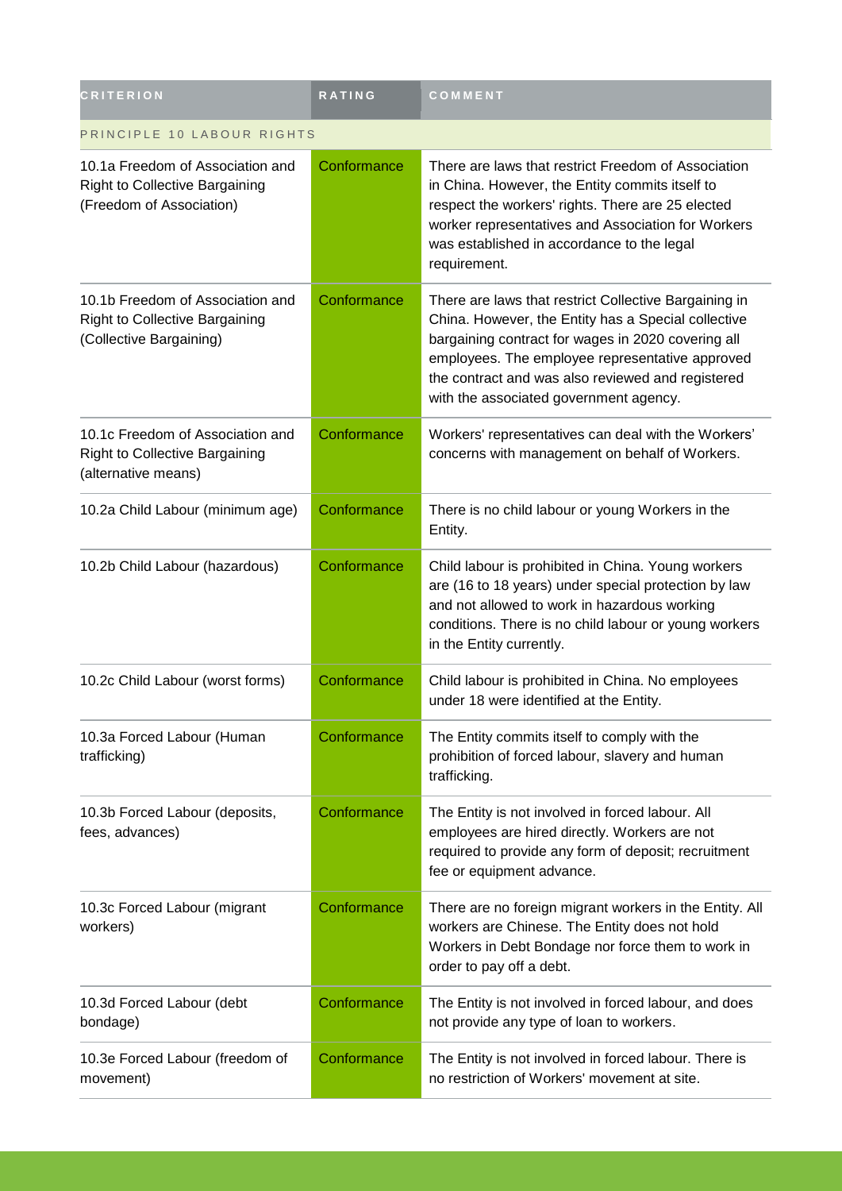| <b>CRITERION</b>                                                                                      | <b>RATING</b> | COMMENT                                                                                                                                                                                                                                                                                                              |  |
|-------------------------------------------------------------------------------------------------------|---------------|----------------------------------------------------------------------------------------------------------------------------------------------------------------------------------------------------------------------------------------------------------------------------------------------------------------------|--|
| PRINCIPLE 10 LABOUR RIGHTS                                                                            |               |                                                                                                                                                                                                                                                                                                                      |  |
| 10.1a Freedom of Association and<br><b>Right to Collective Bargaining</b><br>(Freedom of Association) | Conformance   | There are laws that restrict Freedom of Association<br>in China. However, the Entity commits itself to<br>respect the workers' rights. There are 25 elected<br>worker representatives and Association for Workers<br>was established in accordance to the legal<br>requirement.                                      |  |
| 10.1b Freedom of Association and<br><b>Right to Collective Bargaining</b><br>(Collective Bargaining)  | Conformance   | There are laws that restrict Collective Bargaining in<br>China. However, the Entity has a Special collective<br>bargaining contract for wages in 2020 covering all<br>employees. The employee representative approved<br>the contract and was also reviewed and registered<br>with the associated government agency. |  |
| 10.1c Freedom of Association and<br><b>Right to Collective Bargaining</b><br>(alternative means)      | Conformance   | Workers' representatives can deal with the Workers'<br>concerns with management on behalf of Workers.                                                                                                                                                                                                                |  |
| 10.2a Child Labour (minimum age)                                                                      | Conformance   | There is no child labour or young Workers in the<br>Entity.                                                                                                                                                                                                                                                          |  |
| 10.2b Child Labour (hazardous)                                                                        | Conformance   | Child labour is prohibited in China. Young workers<br>are (16 to 18 years) under special protection by law<br>and not allowed to work in hazardous working<br>conditions. There is no child labour or young workers<br>in the Entity currently.                                                                      |  |
| 10.2c Child Labour (worst forms)                                                                      | Conformance   | Child labour is prohibited in China. No employees<br>under 18 were identified at the Entity.                                                                                                                                                                                                                         |  |
| 10.3a Forced Labour (Human<br>trafficking)                                                            | Conformance   | The Entity commits itself to comply with the<br>prohibition of forced labour, slavery and human<br>trafficking.                                                                                                                                                                                                      |  |
| 10.3b Forced Labour (deposits,<br>fees, advances)                                                     | Conformance   | The Entity is not involved in forced labour. All<br>employees are hired directly. Workers are not<br>required to provide any form of deposit; recruitment<br>fee or equipment advance.                                                                                                                               |  |
| 10.3c Forced Labour (migrant<br>workers)                                                              | Conformance   | There are no foreign migrant workers in the Entity. All<br>workers are Chinese. The Entity does not hold<br>Workers in Debt Bondage nor force them to work in<br>order to pay off a debt.                                                                                                                            |  |
| 10.3d Forced Labour (debt<br>bondage)                                                                 | Conformance   | The Entity is not involved in forced labour, and does<br>not provide any type of loan to workers.                                                                                                                                                                                                                    |  |
| 10.3e Forced Labour (freedom of<br>movement)                                                          | Conformance   | The Entity is not involved in forced labour. There is<br>no restriction of Workers' movement at site.                                                                                                                                                                                                                |  |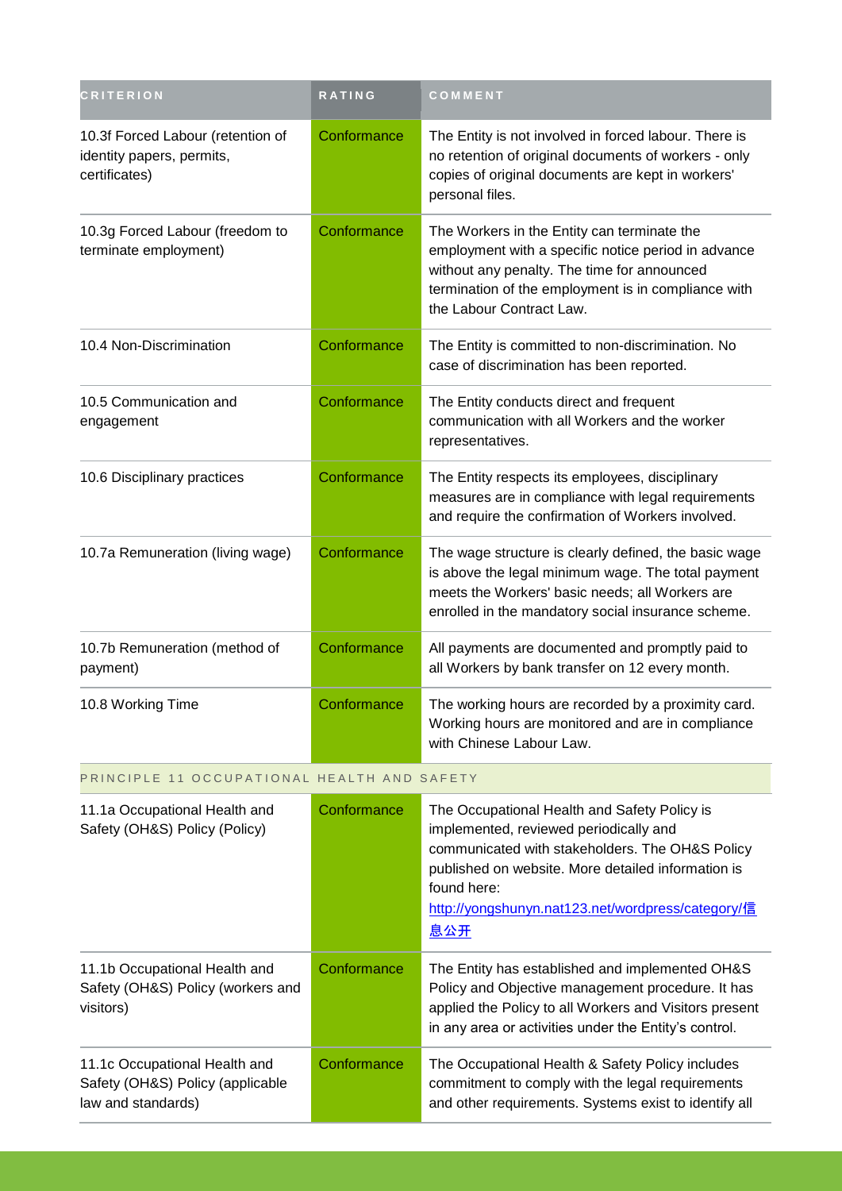| <b>CRITERION</b>                                                                        | RATING      | COMMENT                                                                                                                                                                                                                                                                           |
|-----------------------------------------------------------------------------------------|-------------|-----------------------------------------------------------------------------------------------------------------------------------------------------------------------------------------------------------------------------------------------------------------------------------|
| 10.3f Forced Labour (retention of<br>identity papers, permits,<br>certificates)         | Conformance | The Entity is not involved in forced labour. There is<br>no retention of original documents of workers - only<br>copies of original documents are kept in workers'<br>personal files.                                                                                             |
| 10.3g Forced Labour (freedom to<br>terminate employment)                                | Conformance | The Workers in the Entity can terminate the<br>employment with a specific notice period in advance<br>without any penalty. The time for announced<br>termination of the employment is in compliance with<br>the Labour Contract Law.                                              |
| 10.4 Non-Discrimination                                                                 | Conformance | The Entity is committed to non-discrimination. No<br>case of discrimination has been reported.                                                                                                                                                                                    |
| 10.5 Communication and<br>engagement                                                    | Conformance | The Entity conducts direct and frequent<br>communication with all Workers and the worker<br>representatives.                                                                                                                                                                      |
| 10.6 Disciplinary practices                                                             | Conformance | The Entity respects its employees, disciplinary<br>measures are in compliance with legal requirements<br>and require the confirmation of Workers involved.                                                                                                                        |
| 10.7a Remuneration (living wage)                                                        | Conformance | The wage structure is clearly defined, the basic wage<br>is above the legal minimum wage. The total payment<br>meets the Workers' basic needs; all Workers are<br>enrolled in the mandatory social insurance scheme.                                                              |
| 10.7b Remuneration (method of<br>payment)                                               | Conformance | All payments are documented and promptly paid to<br>all Workers by bank transfer on 12 every month.                                                                                                                                                                               |
| 10.8 Working Time                                                                       | Conformance | The working hours are recorded by a proximity card.<br>Working hours are monitored and are in compliance<br>with Chinese Labour Law.                                                                                                                                              |
| PRINCIPLE 11 OCCUPATIONAL HEALTH AND SAFETY                                             |             |                                                                                                                                                                                                                                                                                   |
| 11.1a Occupational Health and<br>Safety (OH&S) Policy (Policy)                          | Conformance | The Occupational Health and Safety Policy is<br>implemented, reviewed periodically and<br>communicated with stakeholders. The OH&S Policy<br>published on website. More detailed information is<br>found here:<br>http://yongshunyn.nat123.net/wordpress/category/信<br><u>息公开</u> |
| 11.1b Occupational Health and<br>Safety (OH&S) Policy (workers and<br>visitors)         | Conformance | The Entity has established and implemented OH&S<br>Policy and Objective management procedure. It has<br>applied the Policy to all Workers and Visitors present<br>in any area or activities under the Entity's control.                                                           |
| 11.1c Occupational Health and<br>Safety (OH&S) Policy (applicable<br>law and standards) | Conformance | The Occupational Health & Safety Policy includes<br>commitment to comply with the legal requirements<br>and other requirements. Systems exist to identify all                                                                                                                     |